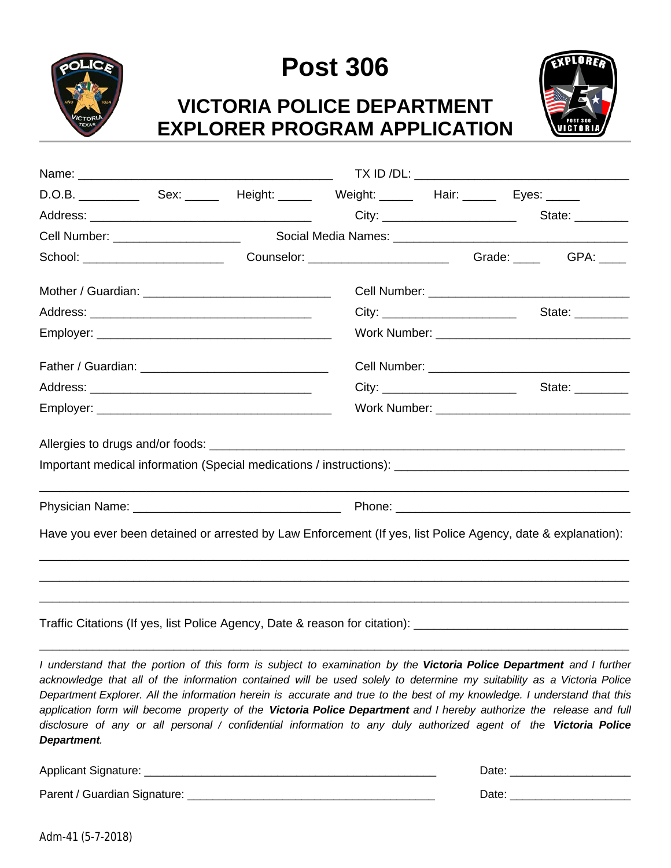

# **Post 306**

### **VICTORIA POLICE DEPARTMENT EXPLORER PROGRAM APPLICATION**



|                                                                                                                |  |  |       | State: ________ |  |
|----------------------------------------------------------------------------------------------------------------|--|--|-------|-----------------|--|
|                                                                                                                |  |  |       |                 |  |
|                                                                                                                |  |  |       |                 |  |
|                                                                                                                |  |  |       |                 |  |
|                                                                                                                |  |  | City: | State: ________ |  |
|                                                                                                                |  |  |       |                 |  |
|                                                                                                                |  |  |       |                 |  |
|                                                                                                                |  |  | City: | State: ________ |  |
|                                                                                                                |  |  |       |                 |  |
|                                                                                                                |  |  |       |                 |  |
|                                                                                                                |  |  |       |                 |  |
|                                                                                                                |  |  |       |                 |  |
|                                                                                                                |  |  |       |                 |  |
| Have you ever been detained or arrested by Law Enforcement (If yes, list Police Agency, date & explanation):   |  |  |       |                 |  |
|                                                                                                                |  |  |       |                 |  |
|                                                                                                                |  |  |       |                 |  |
| Traffic Citations (If yes, list Police Agency, Date & reason for citation): __________________________________ |  |  |       |                 |  |
|                                                                                                                |  |  |       |                 |  |

I understand that the portion of this form is subject to examination by the Victoria Police Department and I further acknowledge that all of the information contained will be used solely to determine my suitability as a Victoria Police Department Explorer. All the information herein is accurate and true to the best of my knowledge. I understand that this application form will become property of the Victoria Police Department and I hereby authorize the release and full disclosure of any or all personal / confidential information to any duly authorized agent of the Victoria Police *Department.*

| <b>Applicant Signature:</b>  | Jate |
|------------------------------|------|
| Parent / Guardian Signature: | Date |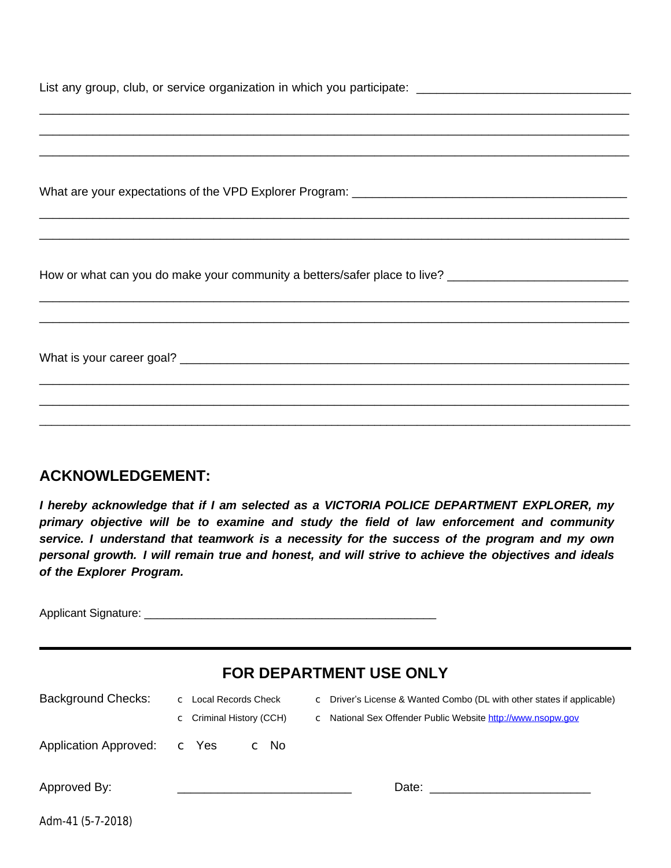| ,我们就会在这里的人,我们就会在这里的人,我们就会在这里,我们就会在这里的人,我们就会在这里,我们就会在这里,我们就会在这里,我们就会在这里,我们就会在这里,我<br>第251章 我们的人,我们就会在这里,我们就会在这里,我们就会在这里,我们就会在这里,我们就会在这里,我们就会在这里,我们就会在这里,我们就会在这里,我们就会在 |  |  |  |  |
|----------------------------------------------------------------------------------------------------------------------------------------------------------------------|--|--|--|--|
| How or what can you do make your community a betters/safer place to live? ___________________________________                                                        |  |  |  |  |
|                                                                                                                                                                      |  |  |  |  |
|                                                                                                                                                                      |  |  |  |  |
|                                                                                                                                                                      |  |  |  |  |
|                                                                                                                                                                      |  |  |  |  |
|                                                                                                                                                                      |  |  |  |  |

### **ACKNOWLEDGEMENT:**

*I hereby acknowledge that if I am selected as a VICTORIA POLICE DEPARTMENT EXPLORER, my primary objective will be to examine and study the field of law enforcement and community service. I understand that teamwork is a necessity for the success of the program and my own personal growth. I will remain true and honest, and will strive to achieve the objectives and ideals of the Explorer Program.*

Applicant Signature: \_\_\_\_\_\_\_\_\_\_\_\_\_\_\_\_\_\_\_\_\_\_\_\_\_\_\_\_\_\_\_\_\_\_\_\_\_\_\_\_\_\_\_\_\_\_

| <b>FOR DEPARTMENT USE ONLY</b> |                                                   |                                                                                                                                       |  |  |  |
|--------------------------------|---------------------------------------------------|---------------------------------------------------------------------------------------------------------------------------------------|--|--|--|
| <b>Background Checks:</b>      | c Local Records Check<br>c Criminal History (CCH) | C Driver's License & Wanted Combo (DL with other states if applicable)<br>c National Sex Offender Public Website http://www.nsopw.gov |  |  |  |
| <b>Application Approved:</b>   | c Yes<br>c No                                     |                                                                                                                                       |  |  |  |
| Approved By:                   |                                                   | Date:                                                                                                                                 |  |  |  |
| Adm-41 (5-7-2018)              |                                                   |                                                                                                                                       |  |  |  |